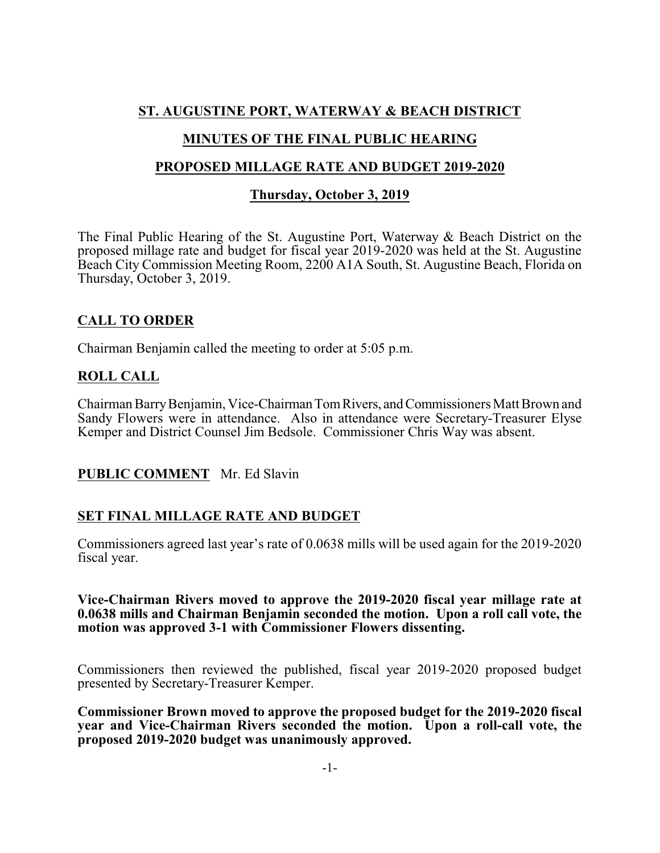## **ST. AUGUSTINE PORT, WATERWAY & BEACH DISTRICT**

## **MINUTES OF THE FINAL PUBLIC HEARING**

#### **PROPOSED MILLAGE RATE AND BUDGET 2019-2020**

#### **Thursday, October 3, 2019**

The Final Public Hearing of the St. Augustine Port, Waterway & Beach District on the proposed millage rate and budget for fiscal year 2019-2020 was held at the St. Augustine Beach City Commission Meeting Room, 2200 A1A South, St. Augustine Beach, Florida on Thursday, October 3, 2019.

## **CALL TO ORDER**

Chairman Benjamin called the meeting to order at 5:05 p.m.

## **ROLL CALL**

Chairman Barry Benjamin, Vice-Chairman Tom Rivers, and Commissioners Matt Brown and Sandy Flowers were in attendance. Also in attendance were Secretary-Treasurer Elyse Kemper and District Counsel Jim Bedsole. Commissioner Chris Way was absent.

#### **PUBLIC COMMENT** Mr. Ed Slavin

# **SET FINAL MILLAGE RATE AND BUDGET**

Commissioners agreed last year's rate of 0.0638 mills will be used again for the 2019-2020 fiscal year.

#### **Vice-Chairman Rivers moved to approve the 2019-2020 fiscal year millage rate at 0.0638 mills and Chairman Benjamin seconded the motion. Upon a roll call vote, the motion was approved 3-1 with Commissioner Flowers dissenting.**

Commissioners then reviewed the published, fiscal year 2019-2020 proposed budget presented by Secretary-Treasurer Kemper.

**Commissioner Brown moved to approve the proposed budget for the 2019-2020 fiscal year and Vice-Chairman Rivers seconded the motion. Upon a roll-call vote, the proposed 2019-2020 budget was unanimously approved.**